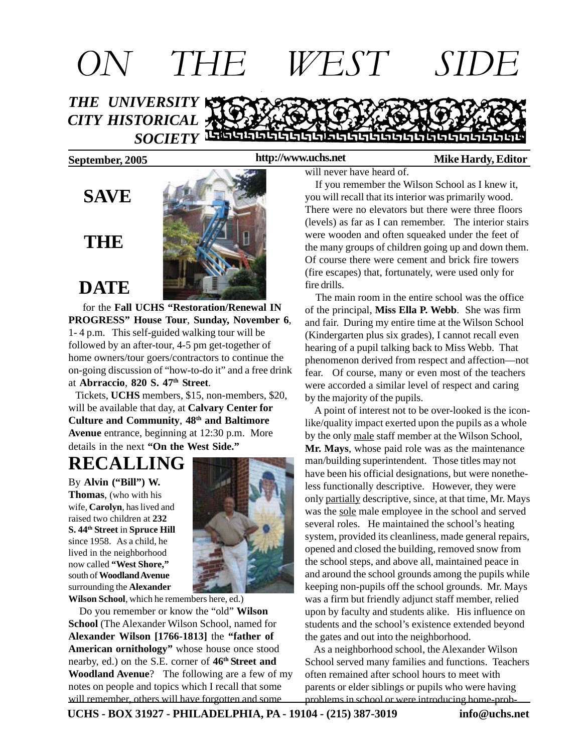

#### **http://www.uchs.net**

### **September, 2005 http://www.uchs.net** Mike Hardy, Editor

### **SAVE**

### **THE**

 **DATE**



 for the **Fall UCHS "Restoration/Renewal IN PROGRESS" House Tour**, **Sunday, November 6**, 1- 4 p.m. This self-guided walking tour will be followed by an after-tour, 4-5 pm get-together of home owners/tour goers/contractors to continue the on-going discussion of "how-to-do it" and a free drink at **Abrraccio**, **820 S. 47th Street**.

 Tickets, **UCHS** members, \$15, non-members, \$20, will be available that day, at **Calvary Center for Culture and Community**, **48th and Baltimore Avenue** entrance, beginning at 12:30 p.m. More details in the next **"On the West Side."**

# **RECALLING**

By **Alvin ("Bill") W. Thomas**, (who with his wife, **Carolyn**, has lived and raised two children at **232 S. 44th Street** in **Spruce Hill** since 1958. As a child, he lived in the neighborhood now called **"West Shore,"** south of **Woodland Avenue** surrounding the **Alexander**



**Wilson School**, which he remembers here, ed.)

 Do you remember or know the "old" **Wilson School** (The Alexander Wilson School, named for **Alexander Wilson [1766-1813]** the **"father of American ornithology"** whose house once stood nearby, ed.) on the S.E. corner of **46th Street and Woodland Avenue**? The following are a few of my notes on people and topics which I recall that some will remember, others will have forgotten and some

will never have heard of.

 If you remember the Wilson School as I knew it, you will recall that its interior was primarily wood. There were no elevators but there were three floors (levels) as far as I can remember. The interior stairs were wooden and often squeaked under the feet of the many groups of children going up and down them. Of course there were cement and brick fire towers (fire escapes) that, fortunately, were used only for fire drills.

 The main room in the entire school was the office of the principal, **Miss Ella P. Webb**. She was firm and fair. During my entire time at the Wilson School (Kindergarten plus six grades), I cannot recall even hearing of a pupil talking back to Miss Webb. That phenomenon derived from respect and affection—not fear. Of course, many or even most of the teachers were accorded a similar level of respect and caring by the majority of the pupils.

 A point of interest not to be over-looked is the iconlike/quality impact exerted upon the pupils as a whole by the only male staff member at the Wilson School, **Mr. Mays**, whose paid role was as the maintenance man/building superintendent. Those titles may not have been his official designations, but were nonetheless functionally descriptive. However, they were only partially descriptive, since, at that time, Mr. Mays was the sole male employee in the school and served several roles. He maintained the school's heating system, provided its cleanliness, made general repairs, opened and closed the building, removed snow from the school steps, and above all, maintained peace in and around the school grounds among the pupils while keeping non-pupils off the school grounds. Mr. Mays was a firm but friendly adjunct staff member, relied upon by faculty and students alike. His influence on students and the school's existence extended beyond the gates and out into the neighborhood.

 As a neighborhood school, the Alexander Wilson School served many families and functions. Teachers often remained after school hours to meet with parents or elder siblings or pupils who were having problems in school or were introducing home-prob-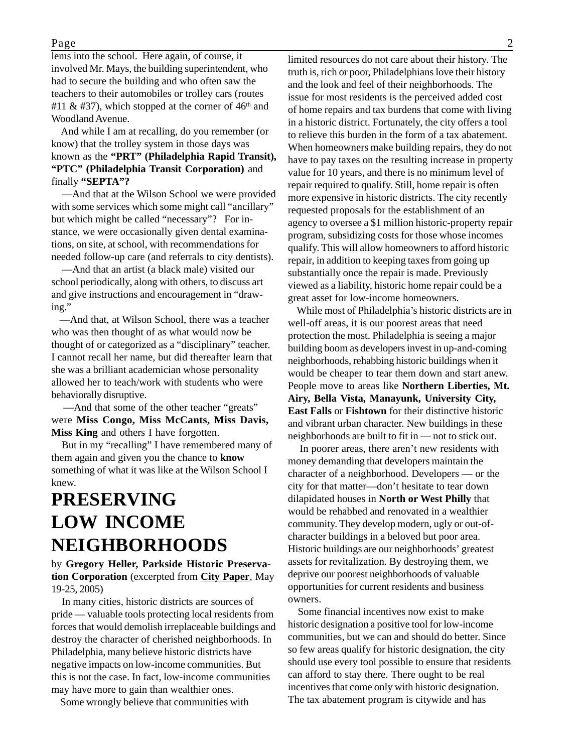#### Page 2

lems into the school. Here again, of course, it involved Mr. Mays, the building superintendent, who had to secure the building and who often saw the teachers to their automobiles or trolley cars (routes #11 & #37), which stopped at the corner of  $46<sup>th</sup>$  and Woodland Avenue.

 And while I am at recalling, do you remember (or know) that the trolley system in those days was known as the **"PRT" (Philadelphia Rapid Transit), "PTC" (Philadelphia Transit Corporation)** and finally **"SEPTA"?**

 —And that at the Wilson School we were provided with some services which some might call "ancillary" but which might be called "necessary"? For instance, we were occasionally given dental examinations, on site, at school, with recommendations for needed follow-up care (and referrals to city dentists).

 —And that an artist (a black male) visited our school periodically, along with others, to discuss art and give instructions and encouragement in "drawing."

 —And that, at Wilson School, there was a teacher who was then thought of as what would now be thought of or categorized as a "disciplinary" teacher. I cannot recall her name, but did thereafter learn that she was a brilliant academician whose personality allowed her to teach/work with students who were behaviorally disruptive.

 —And that some of the other teacher "greats" were **Miss Congo, Miss McCants, Miss Davis, Miss King** and others I have forgotten.

 But in my "recalling" I have remembered many of them again and given you the chance to **know** something of what it was like at the Wilson School I knew.

## **PRESERVING LOW INCOME NEIGHBORHOODS**

by **Gregory Heller, Parkside Historic Preservation Corporation** (excerpted from **City Paper**, May 19-25, 2005)

 In many cities, historic districts are sources of pride — valuable tools protecting local residents from forces that would demolish irreplaceable buildings and destroy the character of cherished neighborhoods. In Philadelphia, many believe historic districts have negative impacts on low-income communities. But this is not the case. In fact, low-income communities may have more to gain than wealthier ones.

Some wrongly believe that communities with

limited resources do not care about their history. The truth is, rich or poor, Philadelphians love their history and the look and feel of their neighborhoods. The issue for most residents is the perceived added cost of home repairs and tax burdens that come with living in a historic district. Fortunately, the city offers a tool to relieve this burden in the form of a tax abatement. When homeowners make building repairs, they do not have to pay taxes on the resulting increase in property value for 10 years, and there is no minimum level of repair required to qualify. Still, home repair is often more expensive in historic districts. The city recently requested proposals for the establishment of an agency to oversee a \$1 million historic-property repair program, subsidizing costs for those whose incomes qualify. This will allow homeowners to afford historic repair, in addition to keeping taxes from going up substantially once the repair is made. Previously viewed as a liability, historic home repair could be a great asset for low-income homeowners.

 While most of Philadelphia's historic districts are in well-off areas, it is our poorest areas that need protection the most. Philadelphia is seeing a major building boom as developers invest in up-and-coming neighborhoods, rehabbing historic buildings when it would be cheaper to tear them down and start anew. People move to areas like **Northern Liberties, Mt. Airy, Bella Vista, Manayunk, University City, East Falls** or **Fishtown** for their distinctive historic and vibrant urban character. New buildings in these neighborhoods are built to fit in — not to stick out.

 In poorer areas, there aren't new residents with money demanding that developers maintain the character of a neighborhood. Developers — or the city for that matter—don't hesitate to tear down dilapidated houses in **North or West Philly** that would be rehabbed and renovated in a wealthier community. They develop modern, ugly or out-ofcharacter buildings in a beloved but poor area. Historic buildings are our neighborhoods' greatest assets for revitalization. By destroying them, we deprive our poorest neighborhoods of valuable opportunities for current residents and business owners.

 Some financial incentives now exist to make historic designation a positive tool for low-income communities, but we can and should do better. Since so few areas qualify for historic designation, the city should use every tool possible to ensure that residents can afford to stay there. There ought to be real incentives that come only with historic designation. The tax abatement program is citywide and has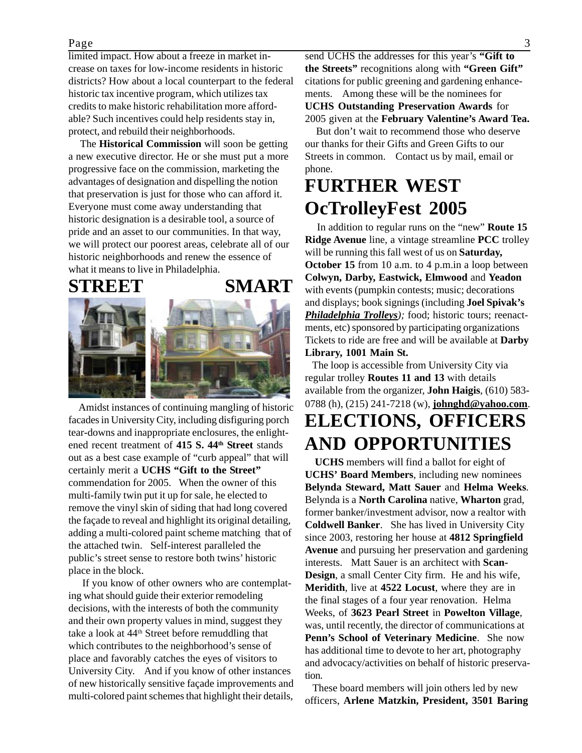#### Page 3

limited impact. How about a freeze in market increase on taxes for low-income residents in historic districts? How about a local counterpart to the federal historic tax incentive program, which utilizes tax credits to make historic rehabilitation more affordable? Such incentives could help residents stay in, protect, and rebuild their neighborhoods.

 The **Historical Commission** will soon be getting a new executive director. He or she must put a more progressive face on the commission, marketing the advantages of designation and dispelling the notion that preservation is just for those who can afford it. Everyone must come away understanding that historic designation is a desirable tool, a source of pride and an asset to our communities. In that way, we will protect our poorest areas, celebrate all of our historic neighborhoods and renew the essence of what it means to live in Philadelphia.

**STREET SMART**





 Amidst instances of continuing mangling of historic facades in University City, including disfiguring porch tear-downs and inappropriate enclosures, the enlightened recent treatment of **415 S. 44th Street** stands out as a best case example of "curb appeal" that will certainly merit a **UCHS "Gift to the Street"** commendation for 2005. When the owner of this multi-family twin put it up for sale, he elected to remove the vinyl skin of siding that had long covered the façade to reveal and highlight its original detailing, adding a multi-colored paint scheme matching that of the attached twin. Self-interest paralleled the public's street sense to restore both twins' historic place in the block.

 If you know of other owners who are contemplating what should guide their exterior remodeling decisions, with the interests of both the community and their own property values in mind, suggest they take a look at 44th Street before remuddling that which contributes to the neighborhood's sense of place and favorably catches the eyes of visitors to University City. And if you know of other instances of new historically sensitive façade improvements and multi-colored paint schemes that highlight their details,

send UCHS the addresses for this year's **"Gift to the Streets"** recognitions along with **"Green Gift"** citations for public greening and gardening enhancements. Among these will be the nominees for **UCHS Outstanding Preservation Awards** for 2005 given at the **February Valentine's Award Tea.**

 But don't wait to recommend those who deserve our thanks for their Gifts and Green Gifts to our Streets in common. Contact us by mail, email or phone.

# **FURTHER WEST OcTrolleyFest 2005**

In addition to regular runs on the "new" **Route 15 Ridge Avenue** line, a vintage streamline **PCC** trolley will be running this fall west of us on **Saturday, October 15** from 10 a.m. to 4 p.m. in a loop between **Colwyn, Darby, Eastwick, Elmwood** and **Yeadon** with events (pumpkin contests; music; decorations and displays; book signings (including **Joel Spivak's** *Philadelphia Trolleys);* food; historic tours; reenactments, etc) sponsored by participating organizations Tickets to ride are free and will be available at **Darby Library, 1001 Main St.**

 The loop is accessible from University City via regular trolley **Routes 11 and 13** with details available from the organizer, **John Haigis**, (610) 583- 0788 (h), (215) 241-7218 (w), **johnghd@yahoo.com**.

# **ELECTIONS, OFFICERS AND OPPORTUNITIES**

 **UCHS** members will find a ballot for eight of **UCHS' Board Members**, including new nominees **Belynda Steward, Matt Sauer** and **Helma Weeks**. Belynda is a **North Carolina** native, **Wharton** grad, former banker/investment advisor, now a realtor with **Coldwell Banker**. She has lived in University City since 2003, restoring her house at **4812 Springfield Avenue** and pursuing her preservation and gardening interests. Matt Sauer is an architect with **Scan-Design**, a small Center City firm. He and his wife, **Meridith**, live at **4522 Locust**, where they are in the final stages of a four year renovation. Helma Weeks, of **3623 Pearl Street** in **Powelton Village**, was, until recently, the director of communications at **Penn's School of Veterinary Medicine**. She now has additional time to devote to her art, photography and advocacy/activities on behalf of historic preservation.

 These board members will join others led by new officers, **Arlene Matzkin, President, 3501 Baring**